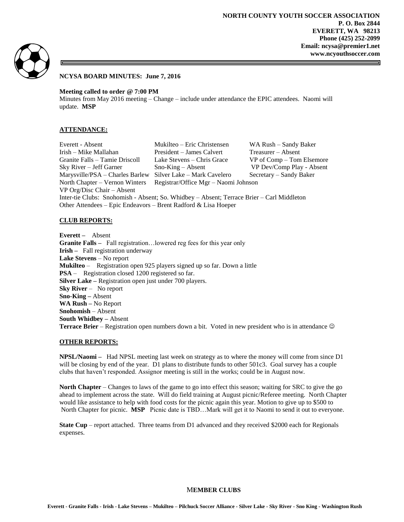

### **NCYSA BOARD MINUTES: June 7, 2016**

**Meeting called to order @ 7:00 PM**

Minutes from May 2016 meeting – Change – include under attendance the EPIC attendees. Naomi will update. **MSP**

#### **ATTENDANCE:**

Everett - Absent Mukilteo – Eric Christensen WA Rush – Sandy Baker Irish – Mike Mallahan President – James Calvert Treasurer – Absent Granite Falls – Tamie Driscoll Lake Stevens – Chris Grace VP of Comp – Tom Elsemore Sky River – Jeff Garner Sno-King – Absent VP Dev/Comp Play - Absent Marysville/PSA – Charles Barlew Silver Lake – Mark Cavelero Secretary – Sandy Baker North Chapter – Vernon Winters Registrar/Office Mgr – Naomi Johnson VP Org/Disc Chair – Absent Inter-tie Clubs: Snohomish - Absent; So. Whidbey – Absent; Terrace Brier – Carl Middleton Other Attendees – Epic Endeavors – Brent Radford & Lisa Hoeper

#### **CLUB REPORTS:**

**Everett –** Absent **Granite Falls –** Fall registration…lowered reg fees for this year only **Irish –** Fall registration underway **Lake Stevens** – No report **Mukilteo** – Registration open 925 players signed up so far. Down a little **PSA** – Registration closed 1200 registered so far. **Silver Lake –** Registration open just under 700 players. **Sky River** – No report **Sno-King –** Absent **WA Rush –** No Report **Snohomish** – Absent **South Whidbey –** Absent **Terrace Brier** – Registration open numbers down a bit. Voted in new president who is in attendance  $\odot$ 

#### **OTHER REPORTS:**

**NPSL/Naomi –** Had NPSL meeting last week on strategy as to where the money will come from since D1 will be closing by end of the year. D1 plans to distribute funds to other 501c3. Goal survey has a couple clubs that haven't responded. Assignor meeting is still in the works; could be in August now.

**North Chapter** – Changes to laws of the game to go into effect this season; waiting for SRC to give the go ahead to implement across the state. Will do field training at August picnic/Referee meeting. North Chapter would like assistance to help with food costs for the picnic again this year. Motion to give up to \$500 to North Chapter for picnic. **MSP** Picnic date is TBD…Mark will get it to Naomi to send it out to everyone.

**State Cup** – report attached. Three teams from D1 advanced and they received \$2000 each for Regionals expenses.

#### M**EMBER CLUBS**